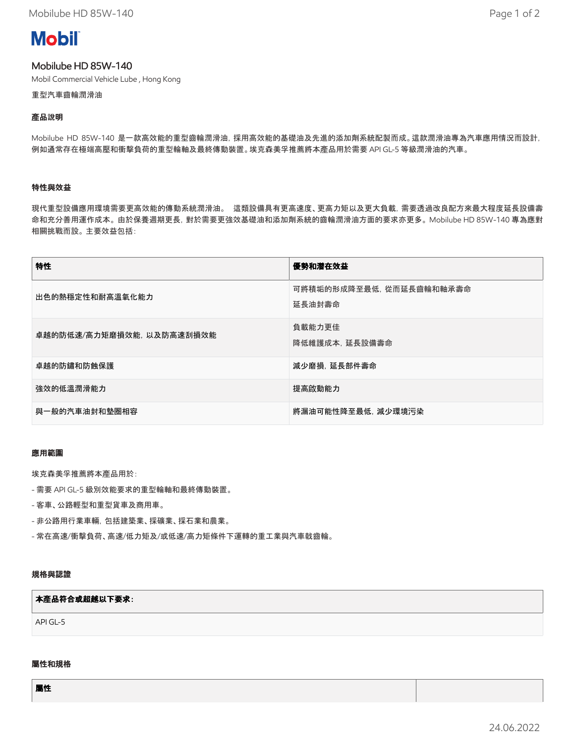# **Mobil**

# Mobilube HD 85W-140

Mobil Commercial Vehicle Lube , Hong Kong

重型汽車齒輪潤滑油

# **產**品說明

Mobilube HD 85W-140 是一款高效能的重型齒輪潤滑油,採用高效能的基礎油及先進的添加劑系統配製而成。這款潤滑油專為汽車應用情況而設計, 例如通常存在極端高壓和衝擊負荷的重型輪軸及最終傳動裝置。埃克森美孚推薦將本產品用於需要 API GL-5 等級潤滑油的汽車。

# 特性與效益

現代重型設備應用環境需要更高效能的傳動系統潤滑油。 這類設備具有更高速度、更高力矩以及更大負載,需要透過改良配方來最大程度延長設備壽 命和充分善用運作成本。 由於保養週期更長,對於需要更強效基礎油和添加劑系統的齒輪潤滑油方面的要求亦更多。 Mobilube HD 85W-140 專為應對 相關挑戰而設。 主要效益包括:

| 特性                        | 優勢和潛在效益                           |
|---------------------------|-----------------------------------|
| 出色的熱穩定性和耐高溫氧化能力           | 可將積垢的形成降至最低,從而延長齒輪和軸承壽命<br>延長油封壽命 |
| 卓越的防低速/高力矩磨損效能, 以及防高速刮損效能 | 負載能力更佳<br>降低維護成本, 延長設備壽命          |
| 卓越的防鏽和防蝕保護                | 減少磨損, 延長部件壽命                      |
| 強效的低溫潤滑能力                 | 提高啟動能力                            |
| 與一般的汽車油封和墊圈相容             | 將漏油可能性降至最低,減少環境污染                 |

# 應用範圍

埃克森美孚推薦將本產品用於:

- 需要 API GL-5 級別效能要求的重型輪軸和最終傳動裝置。
- 客車、公路輕型和重型貨車及商用車。
- 非公路用行業車輛,包括建築業、採礦業、採石業和農業。
- 常在高速/衝擊負荷、高速/低力矩及/或低速/高力矩條件下運轉的重工業與汽車戟齒輪。

# 規格與認證

#### 本**產**品符合或超越以下要求:

API GL-5

# 屬性和規格

屬性